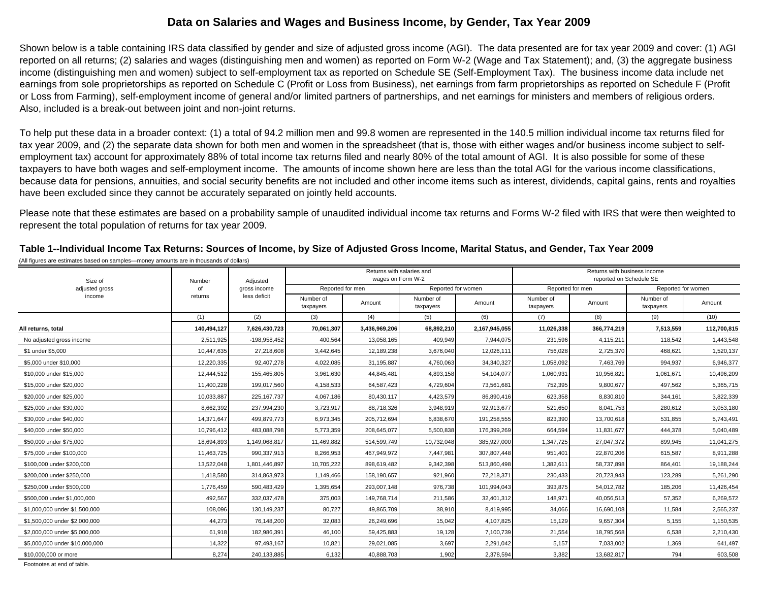## **Data on Salaries and Wages and Business Income, by Gender, Tax Year 2009**

Shown below is a table containing IRS data classified by gender and size of adjusted gross income (AGI). The data presented are for tax year 2009 and cover: (1) AGI reported on all returns; (2) salaries and wages (distinguishing men and women) as reported on Form W-2 (Wage and Tax Statement); and, (3) the aggregate business income (distinguishing men and women) subject to self-employment tax as reported on Schedule SE (Self-Employment Tax). The business income data include net earnings from sole proprietorships as reported on Schedule C (Profit or Loss from Business), net earnings from farm proprietorships as reported on Schedule F (Profit or Loss from Farming), self-employment income of general and/or limited partners of partnerships, and net earnings for ministers and members of religious orders. Also, included is a break-out between joint and non-joint returns.

To help put these data in a broader context: (1) a total of 94.2 million men and 99.8 women are represented in the 140.5 million individual income tax returns filed for tax year 2009, and (2) the separate data shown for both men and women in the spreadsheet (that is, those with either wages and/or business income subject to selfemployment tax) account for approximately 88% of total income tax returns filed and nearly 80% of the total amount of AGI. It is also possible for some of these taxpayers to have both wages and self-employment income. The amounts of income shown here are less than the total AGI for the various income classifications, because data for pensions, annuities, and social security benefits are not included and other income items such as interest, dividends, capital gains, rents and royalties have been excluded since they cannot be accurately separated on jointly held accounts.

Please note that these estimates are based on a probability sample of unaudited individual income tax returns and Forms W-2 filed with IRS that were then weighted to represent the total population of returns for tax year 2009.

(1) (2) (3) (4) (5) (6) (7) (8) (9) (10) All returns, total 140,494,127| 7,626,430,723| 70,061,307| 3,436,969,206| 68,892,210| 2,167,945,055| 11,026,338| 366,774,219| 7,513,559| 112,700,815 No adjusted gross income 2,511,925 -198,958,452 400,564 13,058,165 409,949 7,944,075 231,596 4,115,211 118,542 1,443,548 \$1 under \$5,000 10,447,635 27,218,608 3,442,645 12,189,238 3,676,040 12,026,111 756,028 2,725,370 468,621 1,520,137 \$5,000 under \$10,000 12,220,335 92,407,278 4,022,085 31,195,887 4,760,063 34,340,327 1,058,092 7,463,769 994,937 6,946,377 \$10,000 under \$15,000 12,444,512 155,465,805 3,961,630 44,845,481 4,893,158 54,104,077 1,060,931 10,956,821 1,061,671 10,496,209 \$15,000 under \$20,000 11,400,228 199,017,560 4,158,533 64,587,423 4,729,604 73,561,681 752,395 9,800,677 497,562 5,365,715 \$20,000 under \$25,000 10,033,887 225,167,737 4,067,186 80,430,117 4,423,579 86,890,416 623,358 8,830,810 344,161 3,822,339 \$25,000 under \$30,000 8,662,392 237,994,230 3,723,917 88,718,326 3,948,919 92,913,677 521,650 8,041,753 280,612 3,053,180 \$30,000 under \$40,000 14,371,647 499,879,773 6,973,345 205,712,694 6,838,670 191,258,555 823,390 13,700,618 531,855 5,743,491 \$40,000 under \$50,000 10,796,412 483,088,798 5,773,359 208,645,077 5,500,838 176,399,269 664,594 11,831,677 444,378 5,040,489 \$50,000 under \$75,000 18,694,893 1,149,068,817 11,469,882 514,599,749 10,732,048 385,927,000 1,347,725 27,047,372 899,945 11,041,275 \$75,000 under \$100,000 11,463,725 990,337,913 8,266,953 467,949,972 7,447,981 307,807,448 951,401 22,870,206 615,587 8,911,288 \$100,000 under \$200,000 13,522,048 1,801,446,897 10,705,222 898,619,482 9,342,398 513,860,498 1,382,611 58,737,898 864,401 19,188,244 \$200,000 under \$250,000 1,418,580 314,863,973 1,149,466 158,190,657 921,960 72,218,371 230,433 20,723,943 123,289 5,261,290 \$250,000 under \$500,000 1,776,459 590,483,429 1,395,654 293,007,148 976,738 101,994,043 393,875 54,012,782 185,206 11,426,454 \$500,000 under \$1,000,000 492,567 332,037,478 375,003 149,768,714 211,586 32,401,312 148,971 40,056,513 57,352 6,269,572 \$1,000,000 under \$1,500,000 108,096 130,149,237 80,727 49,865,709 38,910 8,419,995 34,066 16,690,108 11,584 2,565,237  $$1,500,000$  under \$2,000,000 445 1,150,535 4,273 76,148,200 76,148,200 32,083 26,249,696 45,042 4,107,825 5,129 9,657,304 5,155 1,150,535 \$2,000,000 under \$5,000,000 61,918 182,986,391 46,100 59,425,883 19,128 7,100,739 21,554 18,795,568 6,538 2,210,430 \$5,000,000 under \$10,000,000 14,322 97,493,167 10,821 29,021,085 3,697 2,291,042 5,157 7,033,002 1,369 641,497 \$10,000,000 or more 8,274 240,133,885 6,132 40,888,703 1,902 2,378,594 3,382 13,682,817 794 603,508 Footnotes at end of table.Size ofadjusted gross incomee and the state of the second statement of the state of the state of the state of the state of the state of the state of the state of the state of the state of the state of the state of the state of the state of the state taxpayers Adjusted gross income less deficitReported for women NumberofreturnsAmountNumber ofIndian Mumber of Amount Reported for men Returns with salaries and wages on Form W-2 Returns with business incomereported on Schedule SE Reported for men Reported for women Number oftaxpayers Amount Number of taxpayers Amount

**Table 1--Individual Income Tax Returns: Sources of Income, by Size of Adjusted Gross Income, Marital Status, and Gender, Tax Year 2009** (All figures are estimates based on samples—money amounts are in thousands of dollars)